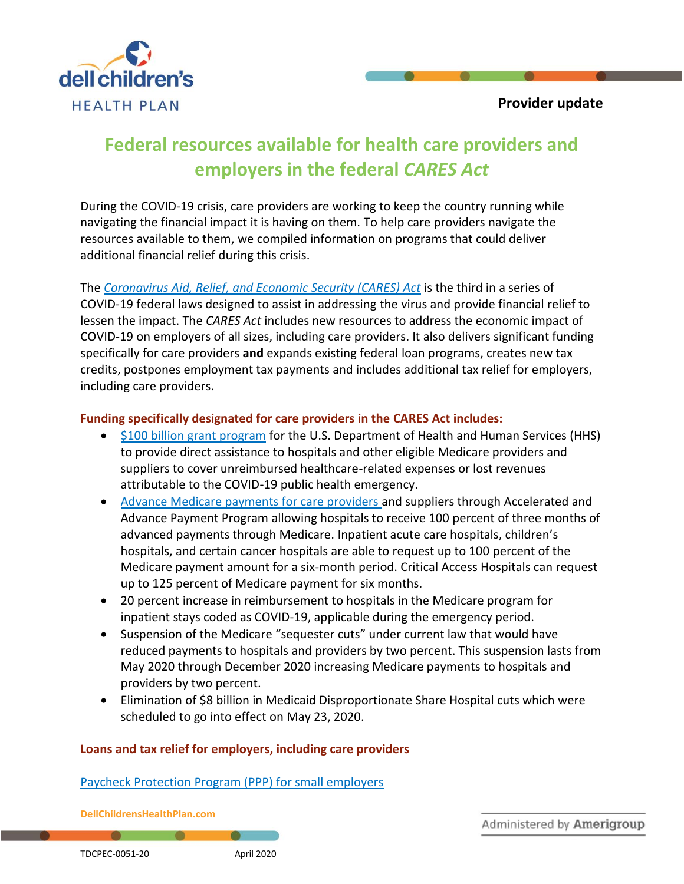

# **Federal resources available for health care providers and employers in the federal** *CARES Act*

During the COVID-19 crisis, care providers are working to keep the country running while navigating the financial impact it is having on them. To help care providers navigate the resources available to them, we compiled information on programs that could deliver additional financial relief during this crisis.

The *Coronavirus Aid, Relief, [and Economic Security \(CARES\) Act](https://www.congress.gov/116/bills/hr748/BILLS-116hr748enr.pdf)* is the third in a series of COVID-19 federal laws designed to assist in addressing the virus and provide financial relief to lessen the impact. The *CARES Act* includes new resources to address the economic impact of COVID-19 on employers of all sizes, including care providers. It also delivers significant funding specifically for care providers **and** expands existing federal loan programs, creates new tax credits, postpones employment tax payments and includes additional tax relief for employers, including care providers.

#### **Funding specifically designated for care providers in the CARES Act includes:**

- [\\$100 billion grant program](https://www.hhs.gov/provider-relief/index.html) for the U.S. Department of Health and Human Services (HHS) to provide direct assistance to hospitals and other eligible Medicare providers and suppliers to cover unreimbursed healthcare-related expenses or lost revenues attributable to the COVID-19 public health emergency.
- [Advance Medicare payments for care providers](https://www.cms.gov/newsroom/press-releases/cms-approves-approximately-34-billion-providers-acceleratedadvance-payment-program-medicare) and suppliers through Accelerated and Advance Payment Program allowing hospitals to receive 100 percent of three months of advanced payments through Medicare. Inpatient acute care hospitals, children's hospitals, and certain cancer hospitals are able to request up to 100 percent of the Medicare payment amount for a six-month period. Critical Access Hospitals can request up to 125 percent of Medicare payment for six months.
- 20 percent increase in reimbursement to hospitals in the Medicare program for inpatient stays coded as COVID-19, applicable during the emergency period.
- Suspension of the Medicare "sequester cuts" under current law that would have reduced payments to hospitals and providers by two percent. This suspension lasts from May 2020 through December 2020 increasing Medicare payments to hospitals and providers by two percent.
- Elimination of \$8 billion in Medicaid Disproportionate Share Hospital cuts which were scheduled to go into effect on May 23, 2020.

#### **Loans and tax relief for employers, including care providers**

#### Paycheck Protection Program [\(PPP\) for small employers](https://www.sba.gov/funding-programs/loans/paycheck-protection-program-ppp)

**DellChildrensHealthPlan.com**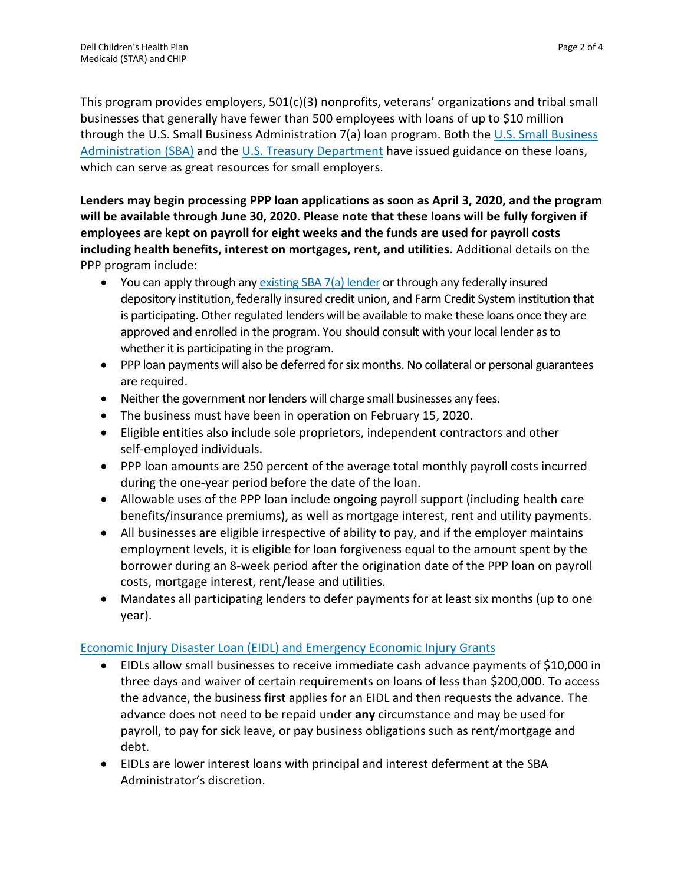This program provides employers, 501(c)(3) nonprofits, veterans' organizations and tribal small businesses that generally have fewer than 500 employees with loans of up to \$10 million through the [U.S. Small Business](https://content.sba.gov/sites/default/files/2020-04/PPP--IFRN%20FINAL.pdf) Administration 7(a) loan program. Both the U.S. Small Business [Administration](https://content.sba.gov/sites/default/files/2020-04/PPP--IFRN%20FINAL.pdf) (SBA) and the [U.S. Treasury](https://home.treasury.gov/policy-issues/top-priorities/cares-act/assistance-for-small-businesses) Department have issued guidance on these loans, which can serve as great resources for small employers.

**Lenders may begin processing PPP loan applications as soon as April 3, 2020, and the program will be available through June 30, 2020. Please note that these loans will be fully forgiven if employees are kept on payroll for eight weeks and the funds are used for payroll costs including health benefits, interest on mortgages, rent, and utilities.** Additional details on the PPP program include:

- You can apply through an[y existing SBA 7\(a\) lender](https://www.sba.gov/paycheckprotection/find) or through any federally insured depository institution, federally insured credit union, and Farm Credit System institution that is participating. Other regulated lenders will be available to make these loans once they are approved and enrolled in the program. You should consult with your local lender as to whether it is participating in the program.
- PPP loan payments will also be deferred for six months. No collateral or personal guarantees are required.
- Neither the government nor lenders will charge small businesses any fees.
- The business must have been in operation on February 15, 2020.
- Eligible entities also include sole proprietors, independent contractors and other self-employed individuals.
- PPP loan amounts are 250 percent of the average total monthly payroll costs incurred during the one-year period before the date of the loan.
- Allowable uses of the PPP loan include ongoing payroll support (including health care benefits/insurance premiums), as well as mortgage interest, rent and utility payments.
- All businesses are eligible irrespective of ability to pay, and if the employer maintains employment levels, it is eligible for loan forgiveness equal to the amount spent by the borrower during an 8-week period after the origination date of the PPP loan on payroll costs, mortgage interest, rent/lease and utilities.
- Mandates all participating lenders to defer payments for at least six months (up to one year).

## Economic Injury Disaster Loan (EIDL) and [Emergency Economic Injury Grants](https://www.sba.gov/funding-programs/loans/coronavirus-relief-options/economic-injury-disaster-loan-emergency-advance)

- EIDLs allow small businesses to receive immediate cash advance payments of \$10,000 in three days and waiver of certain requirements on loans of less than \$200,000. To access the advance, the business first applies for an EIDL and then requests the advance. The advance does not need to be repaid under **any** circumstance and may be used for payroll, to pay for sick leave, or pay business obligations such as rent/mortgage and debt.
- EIDLs are lower interest loans with principal and interest deferment at the SBA Administrator's discretion.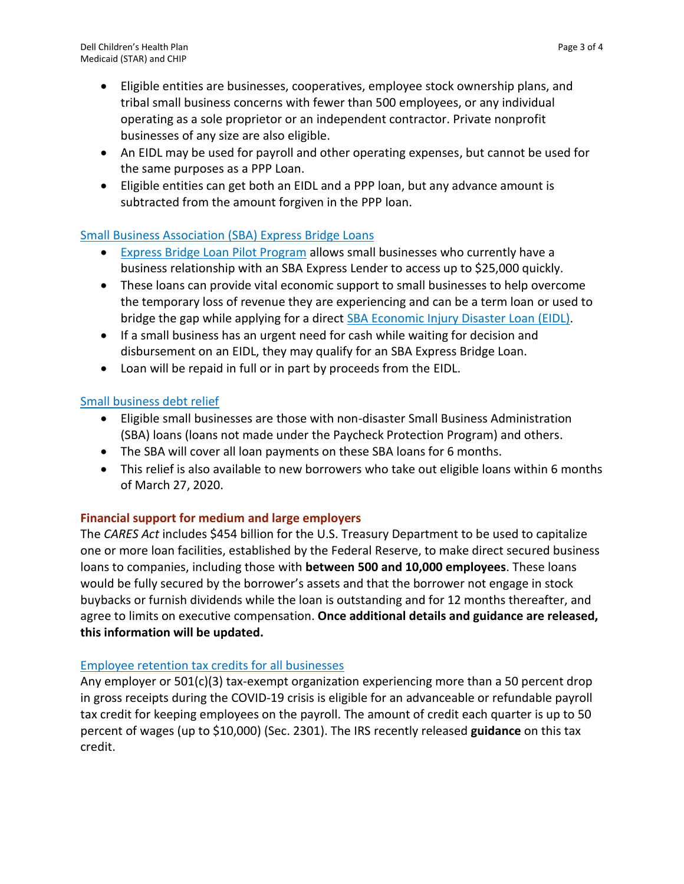- Eligible entities are businesses, cooperatives, employee stock ownership plans, and tribal small business concerns with fewer than 500 employees, or any individual operating as a sole proprietor or an independent contractor. Private nonprofit businesses of any size are also eligible.
- An EIDL may be used for payroll and other operating expenses, but cannot be used for the same purposes as a PPP Loan.
- Eligible entities can get both an EIDL and a PPP loan, but any advance amount is subtracted from the amount forgiven in the PPP loan.

## [Small Business Association \(SBA\)](https://www.sba.gov/funding-programs/loans/coronavirus-relief-options/sba-express-bridge-loans) Express Bridge Loans

- **[Express Bridge Loan Pilot Program](https://www.sba.gov/document/support--express-bridge-loan-pilot-program-guide) allows small businesses who currently have a** business relationship with an SBA Express Lender to access up to \$25,000 quickly.
- These loans can provide vital economic support to small businesses to help overcome the temporary loss of revenue they are experiencing and can be a term loan or used to bridge the gap while applying for a direct **[SBA Economic Injury Disaster Loan](http://www.sba.gov/disaster) (EIDL)**.
- If a small business has an urgent need for cash while waiting for decision and disbursement on an EIDL, they may qualify for an SBA Express Bridge Loan.
- Loan will be repaid in full or in part by proceeds from the EIDL.

## [Small business debt relief](https://www.sba.gov/funding-programs/loans/coronavirus-relief-options/sba-debt-relief)

- Eligible small businesses are those with non-disaster Small Business Administration (SBA) loans (loans not made under the Paycheck Protection Program) and others.
- The SBA will cover all loan payments on these SBA loans for 6 months.
- This relief is also available to new borrowers who take out eligible loans within 6 months of March 27, 2020.

#### **Financial support for medium and large employers**

The *CARES Act* includes \$454 billion for the U.S. Treasury Department to be used to capitalize one or more loan facilities, established by the Federal Reserve, to make direct secured business loans to companies, including those with **between 500 and 10,000 employees**. These loans would be fully secured by the borrower's assets and that the borrower not engage in stock buybacks or furnish dividends while the loan is outstanding and for 12 months thereafter, and agree to limits on executive compensation. **Once additional details and guidance are released, this information will be updated.** 

#### [Employee retention tax credits for all businesses](https://www.irs.gov/newsroom/irs-employee-retention-credit-available-for-many-businesses-financially-impacted-by-covid-19)

Any employer or 501(c)(3) tax-exempt organization experiencing more than a 50 percent drop in gross receipts during the COVID-19 crisis is eligible for an advanceable or refundable payroll tax credit for keeping employees on the payroll. The amount of credit each quarter is up to 50 percent of wages (up to \$10,000) (Sec. 2301). The IRS recently released **[guidance](https://www.irs.gov/newsroom/irs-employee-retention-credit-available-for-many-businesses-financially-impacted-by-covid-19)** on this tax credit.